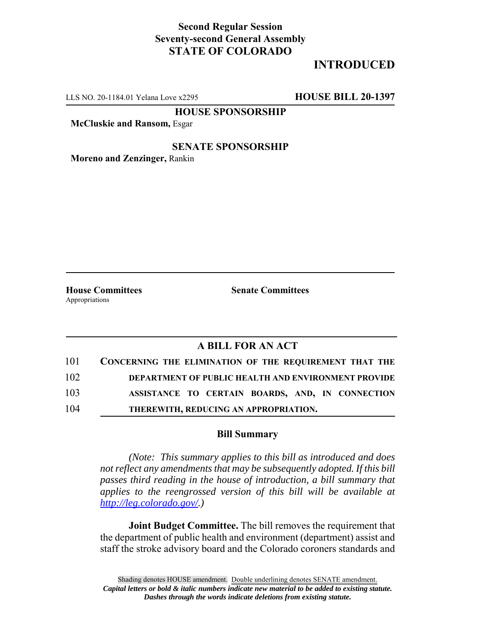## **Second Regular Session Seventy-second General Assembly STATE OF COLORADO**

# **INTRODUCED**

LLS NO. 20-1184.01 Yelana Love x2295 **HOUSE BILL 20-1397**

**HOUSE SPONSORSHIP**

**McCluskie and Ransom,** Esgar

#### **SENATE SPONSORSHIP**

**Moreno and Zenzinger,** Rankin

Appropriations

**House Committees Senate Committees** 

### **A BILL FOR AN ACT**

| 101 | <b>CONCERNING THE ELIMINATION OF THE REQUIREMENT THAT THE</b> |
|-----|---------------------------------------------------------------|
| 102 | <b>DEPARTMENT OF PUBLIC HEALTH AND ENVIRONMENT PROVIDE</b>    |
| 103 | ASSISTANCE TO CERTAIN BOARDS, AND, IN CONNECTION              |
| 104 | THEREWITH, REDUCING AN APPROPRIATION.                         |

#### **Bill Summary**

*(Note: This summary applies to this bill as introduced and does not reflect any amendments that may be subsequently adopted. If this bill passes third reading in the house of introduction, a bill summary that applies to the reengrossed version of this bill will be available at http://leg.colorado.gov/.)*

**Joint Budget Committee.** The bill removes the requirement that the department of public health and environment (department) assist and staff the stroke advisory board and the Colorado coroners standards and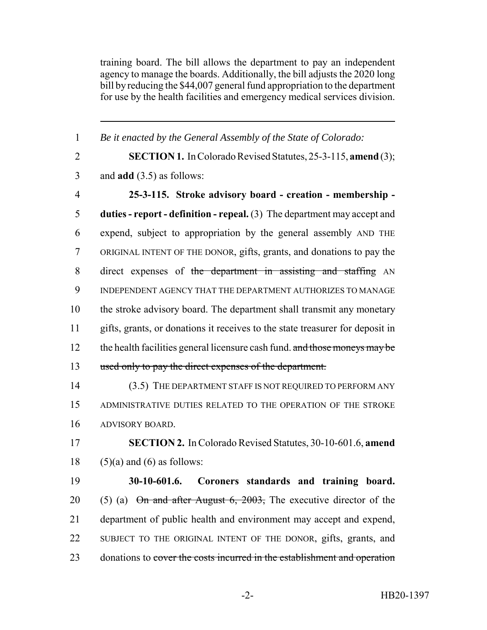training board. The bill allows the department to pay an independent agency to manage the boards. Additionally, the bill adjusts the 2020 long bill by reducing the \$44,007 general fund appropriation to the department for use by the health facilities and emergency medical services division.

 *Be it enacted by the General Assembly of the State of Colorado:* **SECTION 1.** In Colorado Revised Statutes, 25-3-115, **amend** (3); and **add** (3.5) as follows: **25-3-115. Stroke advisory board - creation - membership - duties - report - definition - repeal.** (3) The department may accept and expend, subject to appropriation by the general assembly AND THE ORIGINAL INTENT OF THE DONOR, gifts, grants, and donations to pay the direct expenses of the department in assisting and staffing AN INDEPENDENT AGENCY THAT THE DEPARTMENT AUTHORIZES TO MANAGE the stroke advisory board. The department shall transmit any monetary gifts, grants, or donations it receives to the state treasurer for deposit in 12 the health facilities general licensure cash fund. and those moneys may be used only to pay the direct expenses of the department. (3.5) THE DEPARTMENT STAFF IS NOT REQUIRED TO PERFORM ANY ADMINISTRATIVE DUTIES RELATED TO THE OPERATION OF THE STROKE ADVISORY BOARD. **SECTION 2.** In Colorado Revised Statutes, 30-10-601.6, **amend**  $(5)(a)$  and  $(6)$  as follows: **30-10-601.6. Coroners standards and training board.** 20 (5) (a)  $\Theta$  m and after August 6, 2003, The executive director of the department of public health and environment may accept and expend, SUBJECT TO THE ORIGINAL INTENT OF THE DONOR, gifts, grants, and 23 donations to cover the costs incurred in the establishment and operation